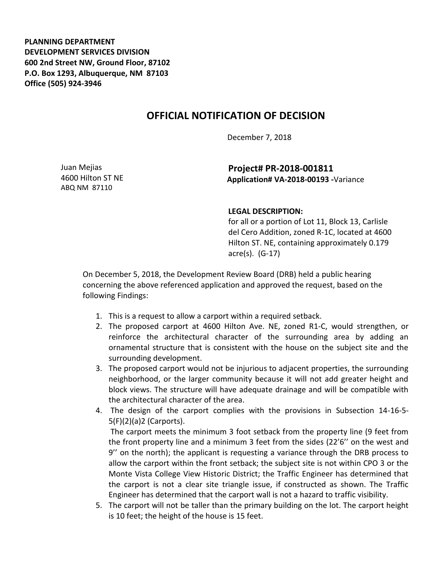**PLANNING DEPARTMENT DEVELOPMENT SERVICES DIVISION 600 2nd Street NW, Ground Floor, 87102 P.O. Box 1293, Albuquerque, NM 87103 Office (505) 924-3946** 

## **OFFICIAL NOTIFICATION OF DECISION**

December 7, 2018

Juan Mejias 4600 Hilton ST NE ABQ NM 87110

## **Project# PR-2018-001811 Application# VA-2018-00193 -**Variance

## **LEGAL DESCRIPTION:**

for all or a portion of Lot 11, Block 13, Carlisle del Cero Addition, zoned R-1C, located at 4600 Hilton ST. NE, containing approximately 0.179 acre(s). (G-17)

On December 5, 2018, the Development Review Board (DRB) held a public hearing concerning the above referenced application and approved the request, based on the following Findings:

- 1. This is a request to allow a carport within a required setback.
- 2. The proposed carport at 4600 Hilton Ave. NE, zoned R1-C, would strengthen, or reinforce the architectural character of the surrounding area by adding an ornamental structure that is consistent with the house on the subject site and the surrounding development.
- 3. The proposed carport would not be injurious to adjacent properties, the surrounding neighborhood, or the larger community because it will not add greater height and block views. The structure will have adequate drainage and will be compatible with the architectural character of the area.
- 4. The design of the carport complies with the provisions in Subsection 14-16-5- 5(F)(2)(a)2 (Carports).

The carport meets the minimum 3 foot setback from the property line (9 feet from the front property line and a minimum 3 feet from the sides (22'6'' on the west and 9'' on the north); the applicant is requesting a variance through the DRB process to allow the carport within the front setback; the subject site is not within CPO 3 or the Monte Vista College View Historic District; the Traffic Engineer has determined that the carport is not a clear site triangle issue, if constructed as shown. The Traffic Engineer has determined that the carport wall is not a hazard to traffic visibility.

5. The carport will not be taller than the primary building on the lot. The carport height is 10 feet; the height of the house is 15 feet.